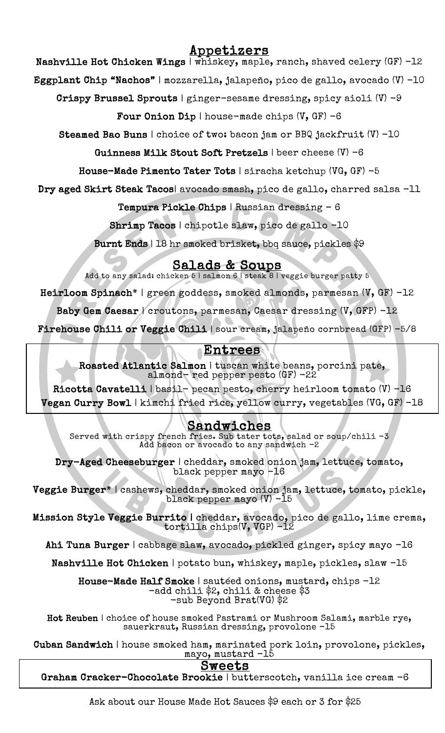# Appetizers

Nashville Hot Chicken Wings | whiskey, maple, ranch, shaved celery (GF) -12

Eggplant Chip "Nachos" | mozzarella, jalapeño, pico de gallo, avocado (V) -10

Crispy Brussel Sprouts | ginger-sesame dressing, spicy aioli (V) -9

Four Onion Dip | house-made chips  $(V, GF) -6$ 

Steamed Bao Buns | choice of two: bacon jam or BBQ jackfruit (V) -10

Guinness Milk Stout Soft Pretzels | beer cheese (V) -6

House-Made Pimento Tater Tots | siracha ketchup (VG, GF) -5

Dry aged Skirt Steak Tacos| avocado smash, pico de gallo, charred salsa -11

Tempura Pickle Chips | Russian dressing – 6

Shrimp Tacos | chipotle slaw, pico de gallo -10

Burnt Ends | 18 hr smoked brisket, bbq sauce, pickles \$9

 $Salds & Soups$ <br>Add to any salad: chicken 5 | salmon 6 | steak 8 | veggie burger patty 5

Heirloom Spinach\* | green goddess, smoked almonds, parmesan (V, GF) -12

Baby Gem Caesar | croutons, parmesan, Caesar dressing (V, GFP) -12

 $\frac{1}{2}$ Firehouse Chili or Veggie Chili | sour cream, jalapeño cornbread (GFP) -5/8

## Entrees

 $\mathbf{a}$ ľ Roasted Atlantic Salmon | tuscan white beans, porcini pate, almond- red pepper pesto (GF) -22

 Ricotta Cavatelli | basil- pecan pesto, cherry heirloom tomato (V) -16 Vegan Curry Bowl | kimchi fried rice, yellow curry, vegetables (VG, GF) -18

### <u>Sandwiches</u>

spy french fries. Sub tater tots, salad o<br>Add bacon or avocado to any sandwich -2 Served with crispy french fries. Sub tater tots, salad or soup/chili  $-3$ 

 $\mathbf{r}$ I cheddar, smoked oni<br>black pepper mayo -16 Dry-Aged Cheeseburger | cheddar, smoked onion jam, lettuce, tomato,

E. ׆<br>׆  $\overline{\phantom{a}}$ Veggie Burger\* | cashews, cheddar, smoked onion jam, lettuce, tomato, pickle, black pepper mayo (V) -15

Mission Style Veggie Burrito | cheddar, avocado, pico de gallo, lime crema,<br>tentilla abina(V VCP) -12 tortilla chips(V, VGP) -12

Ahi Tuna Burger | cabbage slaw, avocado, pickled ginger, spicy mayo -16

Nashville Hot Chicken | potato bun, whiskey, maple, pickles, slaw -15

Ĩ House-Made Half Smoke | sautéed onions, mustard, chips -12<br>-add chili \$2, chili & cheese \$3 -sub Beyond Brat(VG) \$2 -add chili \$2, chili & cheese \$3

 Hot Reuben | choice of house smoked Pastrami or Mushroom Salami, marble rye, sauerkraut, Russian dressing, provolone -15

 Cuban Sandwich | house smoked ham, marinated pork loin, provolone, pickles, n mam, marinated p<br>mayo, mustard -15

### Sweets

Sweets<br>Graham Cracker-Chocolate Brookie | butterscotch, vanilla ice cream -6